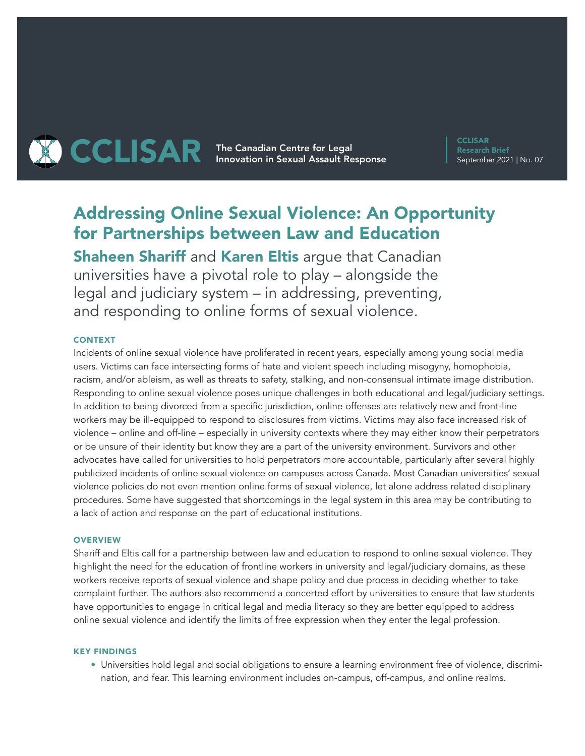# **THE CAR The Canadian Centre for Legal CCLISAR** Innovation in Sexual Assault Response

**CCLISAR** Research Brief September 2021 | No. 07

# Addressing Online Sexual Violence: An Opportunity for Partnerships between Law and Education

**Shaheen Shariff and Karen Eltis arque that Canadian** universities have a pivotal role to play – alongside the legal and judiciary system – in addressing, preventing, and responding to online forms of sexual violence.

# **CONTEXT**

Incidents of online sexual violence have proliferated in recent years, especially among young social media users. Victims can face intersecting forms of hate and violent speech including misogyny, homophobia, racism, and/or ableism, as well as threats to safety, stalking, and non-consensual intimate image distribution. Responding to online sexual violence poses unique challenges in both educational and legal/judiciary settings. In addition to being divorced from a specific jurisdiction, online offenses are relatively new and front-line workers may be ill-equipped to respond to disclosures from victims. Victims may also face increased risk of violence – online and off-line – especially in university contexts where they may either know their perpetrators or be unsure of their identity but know they are a part of the university environment. Survivors and other advocates have called for universities to hold perpetrators more accountable, particularly after several highly publicized incidents of online sexual violence on campuses across Canada. Most Canadian universities' sexual violence policies do not even mention online forms of sexual violence, let alone address related disciplinary procedures. Some have suggested that shortcomings in the legal system in this area may be contributing to a lack of action and response on the part of educational institutions.

# **OVERVIEW**

Shariff and Eltis call for a partnership between law and education to respond to online sexual violence. They highlight the need for the education of frontline workers in university and legal/judiciary domains, as these workers receive reports of sexual violence and shape policy and due process in deciding whether to take complaint further. The authors also recommend a concerted effort by universities to ensure that law students have opportunities to engage in critical legal and media literacy so they are better equipped to address online sexual violence and identify the limits of free expression when they enter the legal profession.

#### KEY FINDINGS

• Universities hold legal and social obligations to ensure a learning environment free of violence, discrimination, and fear. This learning environment includes on-campus, off-campus, and online realms.